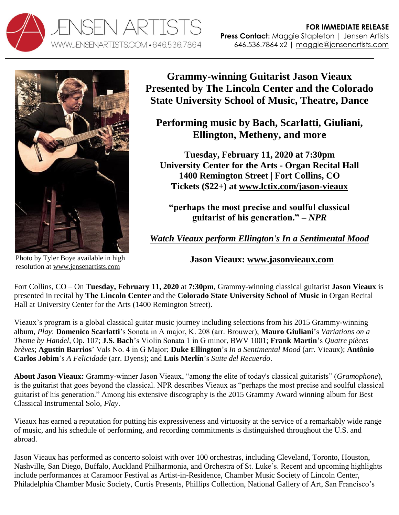



Photo by Tyler Boye available in high resolution at [www.jensenartists.com](http://www.jensenartists.com/jason-vieaux) 

**Grammy-winning Guitarist Jason Vieaux Presented by The Lincoln Center and the Colorado State University School of Music, Theatre, Dance**

**Performing music by Bach, Scarlatti, Giuliani, Ellington, Metheny, and more**

**Tuesday, February 11, 2020 at 7:30pm University Center for the Arts - Organ Recital Hall 1400 Remington Street | Fort Collins, CO Tickets (\$22+) at [www.lctix.com/jason-vieaux](http://www.lctix.com/jason-vieaux)**

**"perhaps the most precise and soulful classical guitarist of his generation." –** *NPR*

*[Watch Vieaux perform Ellington's In a Sentimental Mood](http://www.youtube.com/watch?v=6Mod9vYk4IE)*

**Jason Vieaux: [www.jasonvieaux.com](http://www.jasonvieaux.com/)**

Fort Collins, CO – On **Tuesday, February 11, 2020** at **7:30pm**, Grammy-winning classical guitarist **Jason Vieaux** is presented in recital by **The Lincoln Center** and the **Colorado State University School of Music** in Organ Recital Hall at University Center for the Arts (1400 Remington Street).

Vieaux's program is a global classical guitar music journey including selections from his 2015 Grammy-winning album, *Play*: **Domenico Scarlatti**'s Sonata in A major, K. 208 (arr. Brouwer); **Mauro Giuliani**'s *Variations on a Theme by Handel*, Op. 107; **J.S. Bach**'s Violin Sonata 1 in G minor, BWV 1001; **Frank Martin**'s *Quatre pièces brèves*; **Agustin Barrios**' Vals No. 4 in G Major; **Duke Ellington**'s *In a Sentimental Mood* (arr. Vieaux); **Antônio Carlos Jobim**'s *A Felicidade* (arr. Dyens); and **Luis Merlín**'s *Suite del Recuerdo*.

**About Jason Vieaux:** Grammy-winner Jason Vieaux, "among the elite of today's classical guitarists" (*Gramophone*), is the guitarist that goes beyond the classical. NPR describes Vieaux as "perhaps the most precise and soulful classical guitarist of his generation." Among his extensive discography is the 2015 Grammy Award winning album for Best Classical Instrumental Solo, *Play*.

Vieaux has earned a reputation for putting his expressiveness and virtuosity at the service of a remarkably wide range of music, and his schedule of performing, and recording commitments is distinguished throughout the U.S. and abroad.

Jason Vieaux has performed as concerto soloist with over 100 orchestras, including Cleveland, Toronto, Houston, Nashville, San Diego, Buffalo, Auckland Philharmonia, and Orchestra of St. Luke's. Recent and upcoming highlights include performances at Caramoor Festival as Artist-in-Residence, Chamber Music Society of Lincoln Center, Philadelphia Chamber Music Society, Curtis Presents, Phillips Collection, National Gallery of Art, San Francisco's